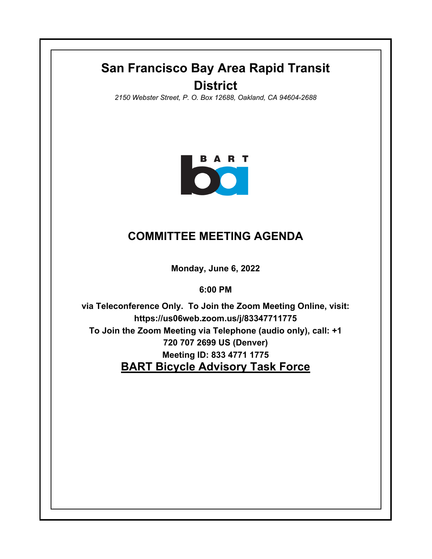## **San Francisco Bay Area Rapid Transit District**

*2150 Webster Street, P. O. Box 12688, Oakland, CA 94604-2688*



## **COMMITTEE MEETING AGENDA**

**Monday, June 6, 2022**

**6:00 PM**

**BART Bicycle Advisory Task Force via Teleconference Only. To Join the Zoom Meeting Online, visit: https://us06web.zoom.us/j/83347711775 To Join the Zoom Meeting via Telephone (audio only), call: +1 720 707 2699 US (Denver) Meeting ID: 833 4771 1775**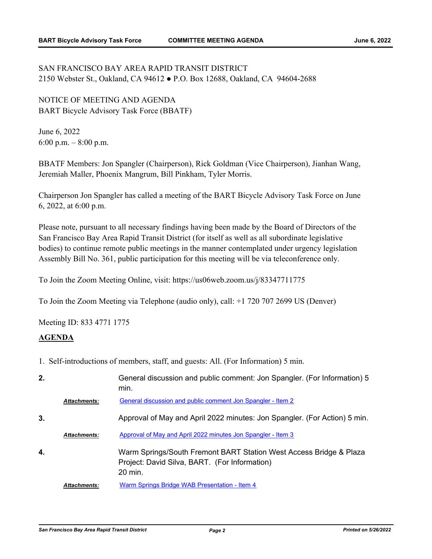SAN FRANCISCO BAY AREA RAPID TRANSIT DISTRICT 2150 Webster St., Oakland, CA 94612 ● P.O. Box 12688, Oakland, CA 94604-2688

NOTICE OF MEETING AND AGENDA BART Bicycle Advisory Task Force (BBATF)

June 6, 2022 6:00 p.m.  $-8:00$  p.m.

BBATF Members: Jon Spangler (Chairperson), Rick Goldman (Vice Chairperson), Jianhan Wang, Jeremiah Maller, Phoenix Mangrum, Bill Pinkham, Tyler Morris.

Chairperson Jon Spangler has called a meeting of the BART Bicycle Advisory Task Force on June 6, 2022, at 6:00 p.m.

Please note, pursuant to all necessary findings having been made by the Board of Directors of the San Francisco Bay Area Rapid Transit District (for itself as well as all subordinate legislative bodies) to continue remote public meetings in the manner contemplated under urgency legislation Assembly Bill No. 361, public participation for this meeting will be via teleconference only.

To Join the Zoom Meeting Online, visit: https://us06web.zoom.us/j/83347711775

To Join the Zoom Meeting via Telephone (audio only), call: +1 720 707 2699 US (Denver)

Meeting ID: 833 4771 1775

## **AGENDA**

1. Self-introductions of members, staff, and guests: All. (For Information) 5 min.

| 2. |                     | General discussion and public comment: Jon Spangler. (For Information) 5<br>min.                                                          |
|----|---------------------|-------------------------------------------------------------------------------------------------------------------------------------------|
|    | <b>Attachments:</b> | General discussion and public comment Jon Spangler - Item 2                                                                               |
| 3. |                     | Approval of May and April 2022 minutes: Jon Spangler. (For Action) 5 min.                                                                 |
|    | <b>Attachments:</b> | Approval of May and April 2022 minutes Jon Spangler - Item 3                                                                              |
| 4. |                     | Warm Springs/South Fremont BART Station West Access Bridge & Plaza<br>Project: David Silva, BART. (For Information)<br>$20 \text{ min}$ . |
|    | <b>Attachments:</b> | Warm Springs Bridge WAB Presentation - Item 4                                                                                             |